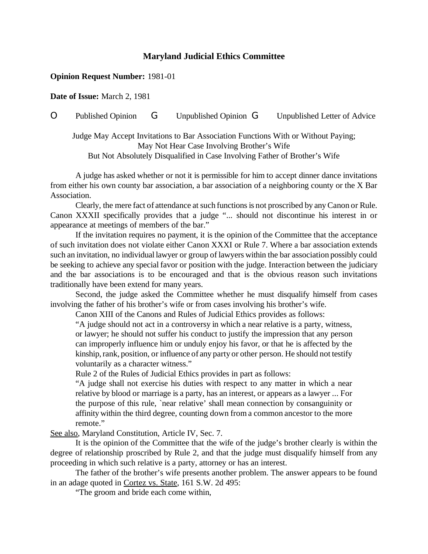## **Maryland Judicial Ethics Committee**

## **Opinion Request Number:** 1981-01

**Date of Issue:** March 2, 1981

## O Published Opinion G Unpublished Opinion G Unpublished Letter of Advice

Judge May Accept Invitations to Bar Association Functions With or Without Paying; May Not Hear Case Involving Brother's Wife But Not Absolutely Disqualified in Case Involving Father of Brother's Wife

A judge has asked whether or not it is permissible for him to accept dinner dance invitations from either his own county bar association, a bar association of a neighboring county or the X Bar Association.

Clearly, the mere fact of attendance at such functionsis not proscribed by anyCanon or Rule. Canon XXXII specifically provides that a judge "... should not discontinue his interest in or appearance at meetings of members of the bar."

If the invitation requires no payment, it is the opinion of the Committee that the acceptance of such invitation does not violate either Canon XXXI or Rule 7. Where a bar association extends such an invitation, no individual lawyer or group of lawyers within the bar association possibly could be seeking to achieve any special favor or position with the judge. Interaction between the judiciary and the bar associations is to be encouraged and that is the obvious reason such invitations traditionally have been extend for many years.

Second, the judge asked the Committee whether he must disqualify himself from cases involving the father of his brother's wife or from cases involving his brother's wife.

Canon XIII of the Canons and Rules of Judicial Ethics provides as follows:

"A judge should not act in a controversy in which a near relative is a party, witness, or lawyer; he should not suffer his conduct to justify the impression that any person can improperly influence him or unduly enjoy his favor, or that he is affected by the kinship, rank, position, or influence of any party or other person. He should not testify voluntarily as a character witness."

Rule 2 of the Rules of Judicial Ethics provides in part as follows:

"A judge shall not exercise his duties with respect to any matter in which a near relative by blood or marriage is a party, has an interest, or appears as a lawyer ... For the purpose of this rule, `near relative' shall mean connection by consanguinity or affinity within the third degree, counting down from a common ancestor to the more remote."

See also, Maryland Constitution, Article IV, Sec. 7.

It is the opinion of the Committee that the wife of the judge's brother clearly is within the degree of relationship proscribed by Rule 2, and that the judge must disqualify himself from any proceeding in which such relative is a party, attorney or has an interest.

The father of the brother's wife presents another problem. The answer appears to be found in an adage quoted in Cortez vs. State, 161 S.W. 2d 495:

"The groom and bride each come within,